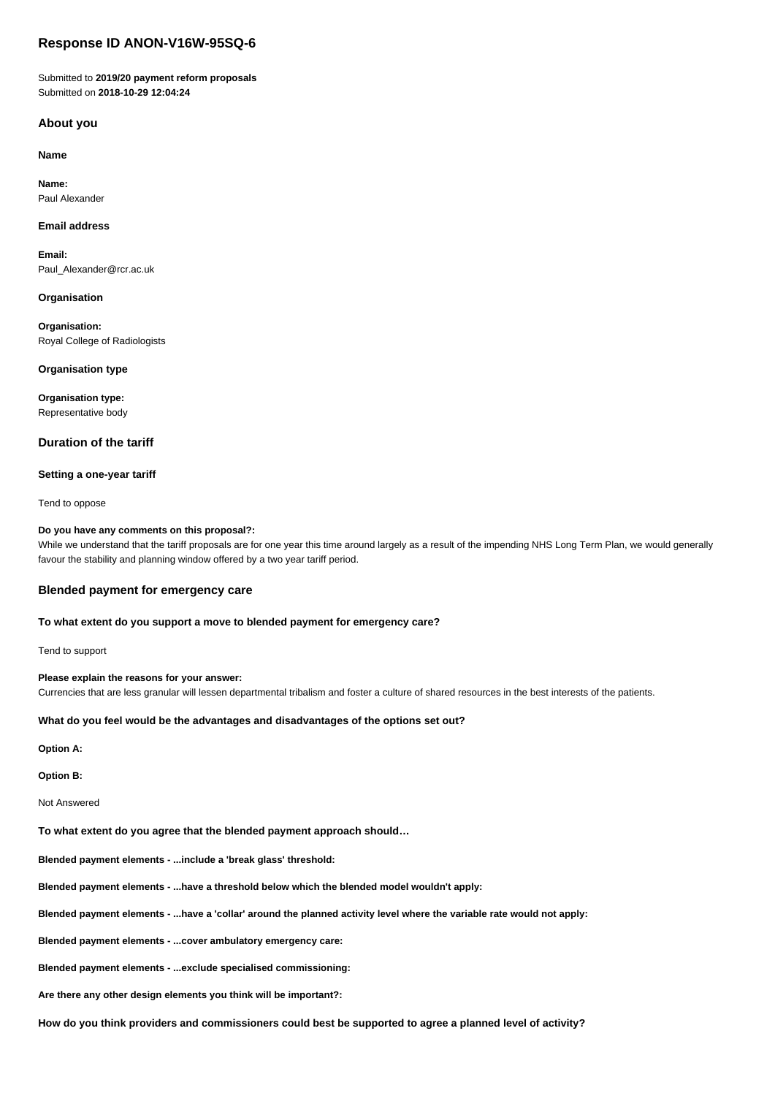# **Response ID ANON-V16W-95SQ-6**

Submitted to **2019/20 payment reform proposals** Submitted on **2018-10-29 12:04:24**

## **About you**

**Name**

**Name:** Paul Alexander

## **Email address**

**Email:** Paul\_Alexander@rcr.ac.uk

### **Organisation**

**Organisation:** Royal College of Radiologists

## **Organisation type**

**Organisation type:** Representative body

## **Duration of the tariff**

### **Setting a one-year tariff**

Tend to oppose

### **Do you have any comments on this proposal?:**

While we understand that the tariff proposals are for one year this time around largely as a result of the impending NHS Long Term Plan, we would generally favour the stability and planning window offered by a two year tariff period.

## **Blended payment for emergency care**

## **To what extent do you support a move to blended payment for emergency care?**

Tend to support

## **Please explain the reasons for your answer:**

Currencies that are less granular will lessen departmental tribalism and foster a culture of shared resources in the best interests of the patients.

### **What do you feel would be the advantages and disadvantages of the options set out?**

**Option A:**

**Option B:**

Not Answered

**To what extent do you agree that the blended payment approach should…**

**Blended payment elements - ...include a 'break glass' threshold:**

**Blended payment elements - ...have a threshold below which the blended model wouldn't apply:**

**Blended payment elements - ...have a 'collar' around the planned activity level where the variable rate would not apply:**

**Blended payment elements - ...cover ambulatory emergency care:**

**Blended payment elements - ...exclude specialised commissioning:**

**Are there any other design elements you think will be important?:**

**How do you think providers and commissioners could best be supported to agree a planned level of activity?**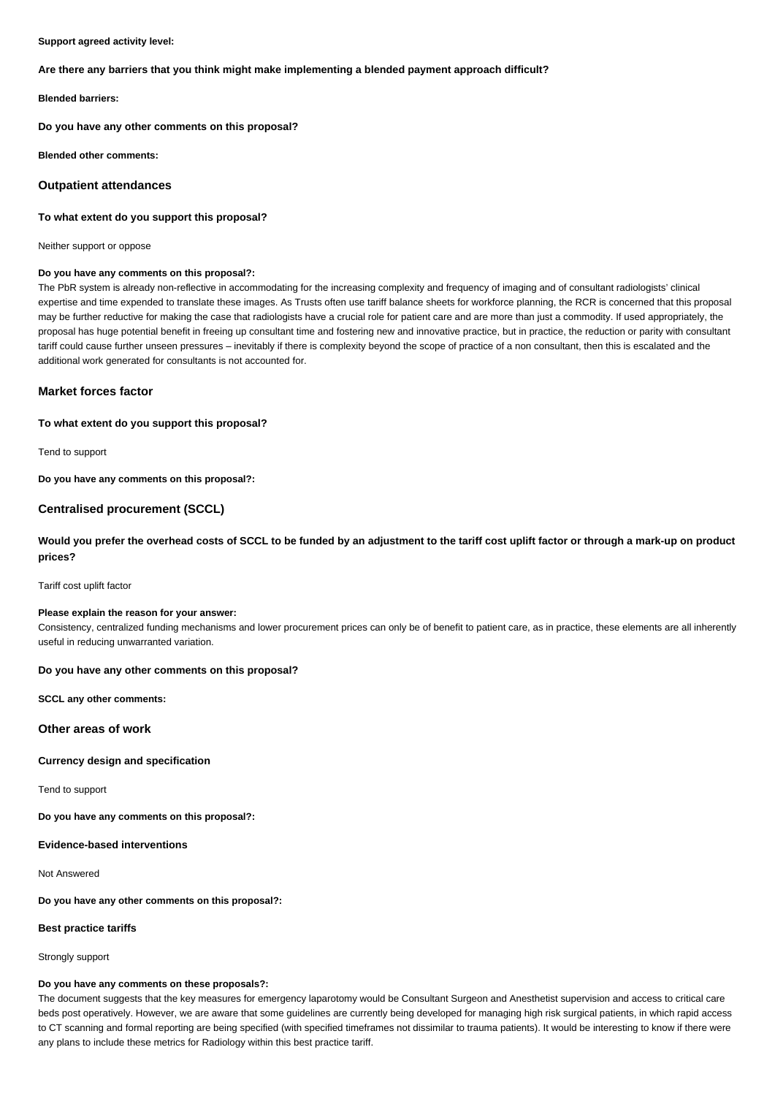#### **Support agreed activity level:**

### **Are there any barriers that you think might make implementing a blended payment approach difficult?**

**Blended barriers:**

**Do you have any other comments on this proposal?**

**Blended other comments:**

#### **Outpatient attendances**

#### **To what extent do you support this proposal?**

Neither support or oppose

#### **Do you have any comments on this proposal?:**

The PbR system is already non-reflective in accommodating for the increasing complexity and frequency of imaging and of consultant radiologists' clinical expertise and time expended to translate these images. As Trusts often use tariff balance sheets for workforce planning, the RCR is concerned that this proposal may be further reductive for making the case that radiologists have a crucial role for patient care and are more than just a commodity. If used appropriately, the proposal has huge potential benefit in freeing up consultant time and fostering new and innovative practice, but in practice, the reduction or parity with consultant tariff could cause further unseen pressures – inevitably if there is complexity beyond the scope of practice of a non consultant, then this is escalated and the additional work generated for consultants is not accounted for.

## **Market forces factor**

## **To what extent do you support this proposal?**

Tend to support

**Do you have any comments on this proposal?:**

# **Centralised procurement (SCCL)**

# **Would you prefer the overhead costs of SCCL to be funded by an adjustment to the tariff cost uplift factor or through a mark-up on product prices?**

Tariff cost uplift factor

#### **Please explain the reason for your answer:**

Consistency, centralized funding mechanisms and lower procurement prices can only be of benefit to patient care, as in practice, these elements are all inherently useful in reducing unwarranted variation.

## **Do you have any other comments on this proposal?**

**SCCL any other comments:**

**Other areas of work**

## **Currency design and specification**

Tend to support

**Do you have any comments on this proposal?:**

**Evidence-based interventions**

Not Answered

**Do you have any other comments on this proposal?:**

#### **Best practice tariffs**

Strongly support

#### **Do you have any comments on these proposals?:**

The document suggests that the key measures for emergency laparotomy would be Consultant Surgeon and Anesthetist supervision and access to critical care beds post operatively. However, we are aware that some guidelines are currently being developed for managing high risk surgical patients, in which rapid access to CT scanning and formal reporting are being specified (with specified timeframes not dissimilar to trauma patients). It would be interesting to know if there were any plans to include these metrics for Radiology within this best practice tariff.